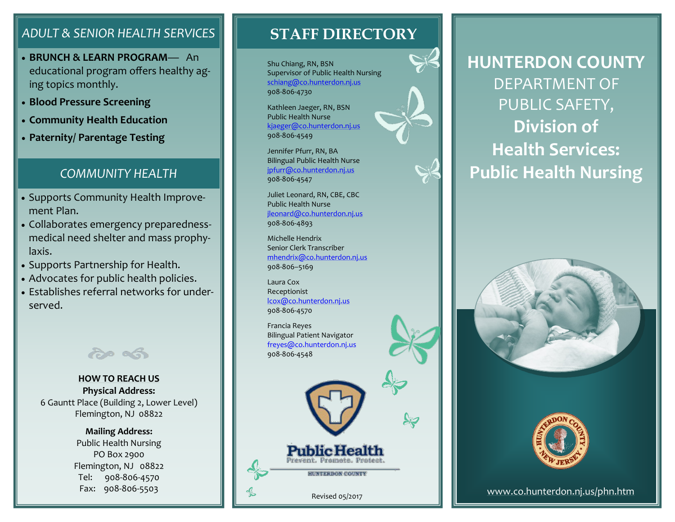### *ADULT & SENIOR HEALTH SERVICES*

- **BRUNCH & LEARN PROGRAM** An educational program offers healthy aging topics monthly.
- **Blood Pressure Screening**
- **Community Health Education**
- **Paternity/ Parentage Testing**

#### *COMMUNITY HEALTH*

- Supports Community Health Improvement Plan.
- Collaborates emergency preparednessmedical need shelter and mass prophylaxis.
- Supports Partnership for Health.
- Advocates for public health policies.
- Establishes referral networks for underserved.



#### **HOW TO REACH US Physical Address:** 6 Gauntt Place (Building 2, Lower Level) Flemington, NJ 08822

**Mailing Address:** Public Health Nursing PO Box 2900 Flemington, NJ 08822 Tel: 908-806-4570 Fax: 908-806-5503

## **STAFF DIRECTORY**

Shu Chiang, RN, BSN Supervisor of Public Health Nursing schiang@co.hunterdon.nj.us 908-806-4730

Kathleen Jaeger, RN, BSN Public Health Nurse kjaeger@co.hunterdon.nj.us 908-806-4549

Jennifer Pfurr, RN, BA Bilingual Public Health Nurse jpfurr@co.hunterdon.nj.us 908-806-4547

Juliet Leonard, RN, CBE, CBC Public Health Nurse jleonard@co.hunterdon.nj.us 908-806-4893

Michelle Hendrix Senior Clerk Transcriber mhendrix@co.hunterdon.nj.us 908-806–5169

Laura Cox Receptionist lcox@co.hunterdon.nj.us 908-806-4570

Francia Reyes Bilingual Patient Navigator freyes@co.hunterdon.nj.us 908-806-4548

Revised 05/2017

**HUNTERDON COUNTY** 

**Public Health** 



# **HUNTERDON COUNTY** DEPARTMENT OF PUBLIC SAFETY, **Division of Health Services: Public Health Nursing**





#### [www.co.hunterdon.nj.us/phn.htm](http://www.co.hunterdon.nj.us/phn.html)